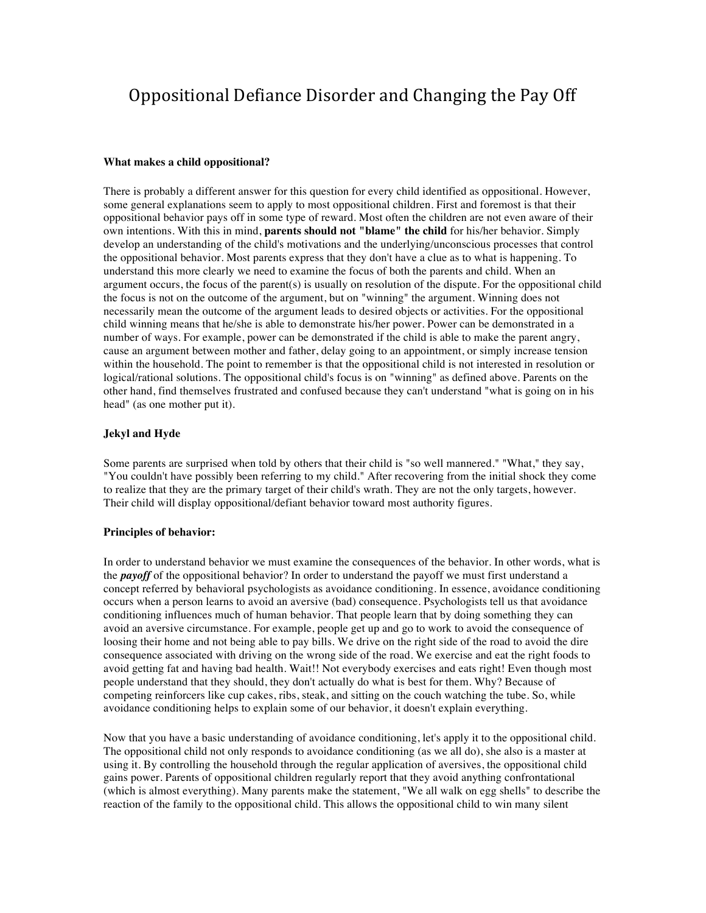# Oppositional Defiance Disorder and Changing the Pay Off

#### **What makes a child oppositional?**

There is probably a different answer for this question for every child identified as oppositional. However, some general explanations seem to apply to most oppositional children. First and foremost is that their oppositional behavior pays off in some type of reward. Most often the children are not even aware of their own intentions. With this in mind, **parents should not "blame" the child** for his/her behavior. Simply develop an understanding of the child's motivations and the underlying/unconscious processes that control the oppositional behavior. Most parents express that they don't have a clue as to what is happening. To understand this more clearly we need to examine the focus of both the parents and child. When an argument occurs, the focus of the parent(s) is usually on resolution of the dispute. For the oppositional child the focus is not on the outcome of the argument, but on "winning" the argument. Winning does not necessarily mean the outcome of the argument leads to desired objects or activities. For the oppositional child winning means that he/she is able to demonstrate his/her power. Power can be demonstrated in a number of ways. For example, power can be demonstrated if the child is able to make the parent angry, cause an argument between mother and father, delay going to an appointment, or simply increase tension within the household. The point to remember is that the oppositional child is not interested in resolution or logical/rational solutions. The oppositional child's focus is on "winning" as defined above. Parents on the other hand, find themselves frustrated and confused because they can't understand "what is going on in his head" (as one mother put it).

## **Jekyl and Hyde**

Some parents are surprised when told by others that their child is "so well mannered." "What," they say, "You couldn't have possibly been referring to my child." After recovering from the initial shock they come to realize that they are the primary target of their child's wrath. They are not the only targets, however. Their child will display oppositional/defiant behavior toward most authority figures.

#### **Principles of behavior:**

In order to understand behavior we must examine the consequences of the behavior. In other words, what is the *payoff* of the oppositional behavior? In order to understand the payoff we must first understand a concept referred by behavioral psychologists as avoidance conditioning. In essence, avoidance conditioning occurs when a person learns to avoid an aversive (bad) consequence. Psychologists tell us that avoidance conditioning influences much of human behavior. That people learn that by doing something they can avoid an aversive circumstance. For example, people get up and go to work to avoid the consequence of loosing their home and not being able to pay bills. We drive on the right side of the road to avoid the dire consequence associated with driving on the wrong side of the road. We exercise and eat the right foods to avoid getting fat and having bad health. Wait!! Not everybody exercises and eats right! Even though most people understand that they should, they don't actually do what is best for them. Why? Because of competing reinforcers like cup cakes, ribs, steak, and sitting on the couch watching the tube. So, while avoidance conditioning helps to explain some of our behavior, it doesn't explain everything.

Now that you have a basic understanding of avoidance conditioning, let's apply it to the oppositional child. The oppositional child not only responds to avoidance conditioning (as we all do), she also is a master at using it. By controlling the household through the regular application of aversives, the oppositional child gains power. Parents of oppositional children regularly report that they avoid anything confrontational (which is almost everything). Many parents make the statement, "We all walk on egg shells" to describe the reaction of the family to the oppositional child. This allows the oppositional child to win many silent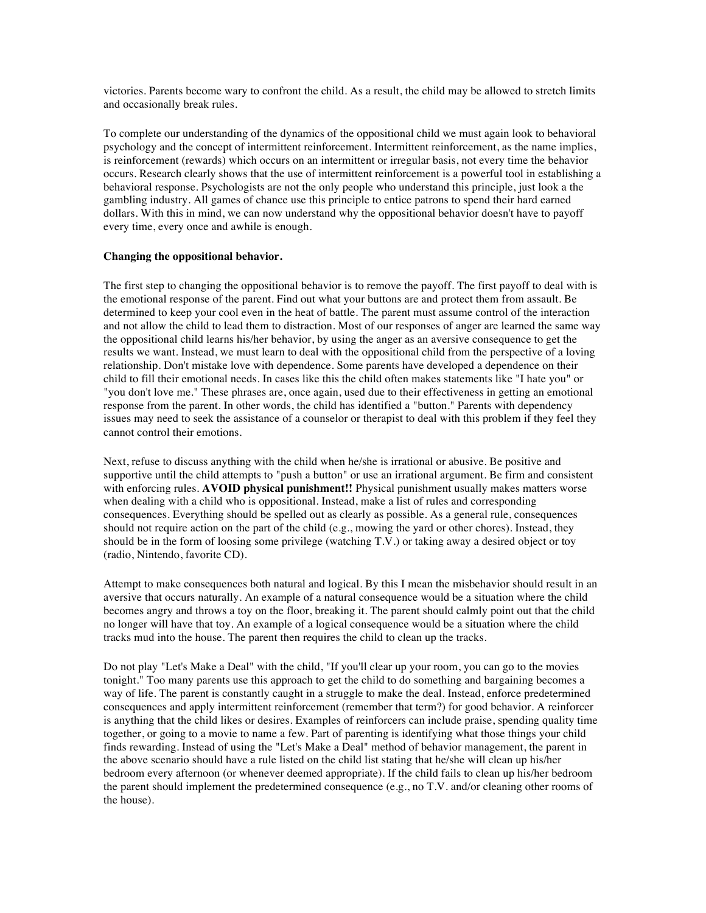victories. Parents become wary to confront the child. As a result, the child may be allowed to stretch limits and occasionally break rules.

To complete our understanding of the dynamics of the oppositional child we must again look to behavioral psychology and the concept of intermittent reinforcement. Intermittent reinforcement, as the name implies, is reinforcement (rewards) which occurs on an intermittent or irregular basis, not every time the behavior occurs. Research clearly shows that the use of intermittent reinforcement is a powerful tool in establishing a behavioral response. Psychologists are not the only people who understand this principle, just look a the gambling industry. All games of chance use this principle to entice patrons to spend their hard earned dollars. With this in mind, we can now understand why the oppositional behavior doesn't have to payoff every time, every once and awhile is enough.

#### **Changing the oppositional behavior.**

The first step to changing the oppositional behavior is to remove the payoff. The first payoff to deal with is the emotional response of the parent. Find out what your buttons are and protect them from assault. Be determined to keep your cool even in the heat of battle. The parent must assume control of the interaction and not allow the child to lead them to distraction. Most of our responses of anger are learned the same way the oppositional child learns his/her behavior, by using the anger as an aversive consequence to get the results we want. Instead, we must learn to deal with the oppositional child from the perspective of a loving relationship. Don't mistake love with dependence. Some parents have developed a dependence on their child to fill their emotional needs. In cases like this the child often makes statements like "I hate you" or "you don't love me." These phrases are, once again, used due to their effectiveness in getting an emotional response from the parent. In other words, the child has identified a "button." Parents with dependency issues may need to seek the assistance of a counselor or therapist to deal with this problem if they feel they cannot control their emotions.

Next, refuse to discuss anything with the child when he/she is irrational or abusive. Be positive and supportive until the child attempts to "push a button" or use an irrational argument. Be firm and consistent with enforcing rules. **AVOID physical punishment!!** Physical punishment usually makes matters worse when dealing with a child who is oppositional. Instead, make a list of rules and corresponding consequences. Everything should be spelled out as clearly as possible. As a general rule, consequences should not require action on the part of the child (e.g., mowing the yard or other chores). Instead, they should be in the form of loosing some privilege (watching T.V.) or taking away a desired object or toy (radio, Nintendo, favorite CD).

Attempt to make consequences both natural and logical. By this I mean the misbehavior should result in an aversive that occurs naturally. An example of a natural consequence would be a situation where the child becomes angry and throws a toy on the floor, breaking it. The parent should calmly point out that the child no longer will have that toy. An example of a logical consequence would be a situation where the child tracks mud into the house. The parent then requires the child to clean up the tracks.

Do not play "Let's Make a Deal" with the child, "If you'll clear up your room, you can go to the movies tonight." Too many parents use this approach to get the child to do something and bargaining becomes a way of life. The parent is constantly caught in a struggle to make the deal. Instead, enforce predetermined consequences and apply intermittent reinforcement (remember that term?) for good behavior. A reinforcer is anything that the child likes or desires. Examples of reinforcers can include praise, spending quality time together, or going to a movie to name a few. Part of parenting is identifying what those things your child finds rewarding. Instead of using the "Let's Make a Deal" method of behavior management, the parent in the above scenario should have a rule listed on the child list stating that he/she will clean up his/her bedroom every afternoon (or whenever deemed appropriate). If the child fails to clean up his/her bedroom the parent should implement the predetermined consequence (e.g., no T.V. and/or cleaning other rooms of the house).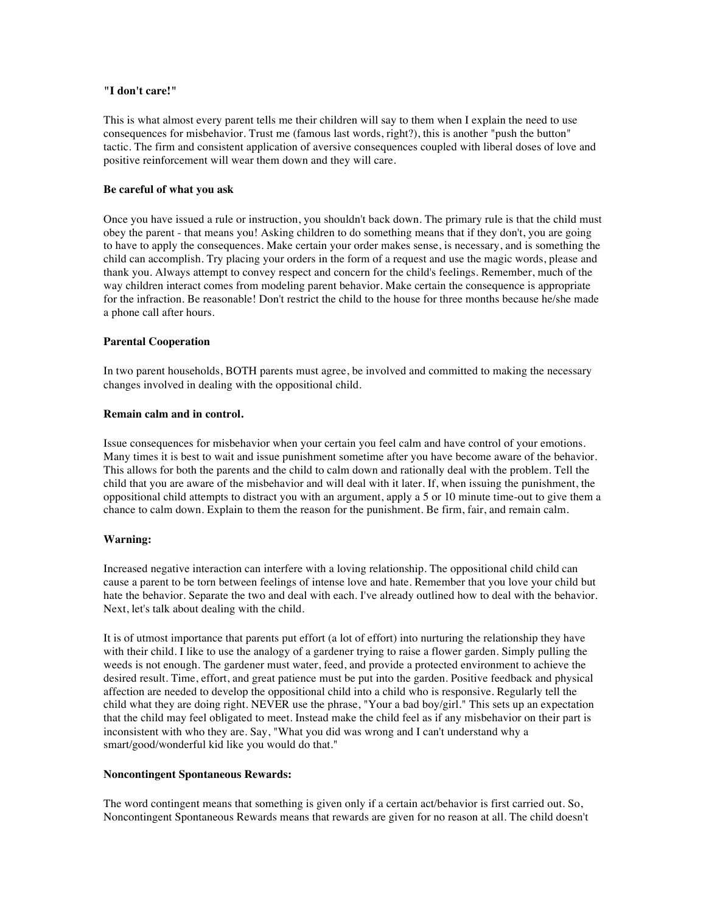## **"I don't care!"**

This is what almost every parent tells me their children will say to them when I explain the need to use consequences for misbehavior. Trust me (famous last words, right?), this is another "push the button" tactic. The firm and consistent application of aversive consequences coupled with liberal doses of love and positive reinforcement will wear them down and they will care.

## **Be careful of what you ask**

Once you have issued a rule or instruction, you shouldn't back down. The primary rule is that the child must obey the parent - that means you! Asking children to do something means that if they don't, you are going to have to apply the consequences. Make certain your order makes sense, is necessary, and is something the child can accomplish. Try placing your orders in the form of a request and use the magic words, please and thank you. Always attempt to convey respect and concern for the child's feelings. Remember, much of the way children interact comes from modeling parent behavior. Make certain the consequence is appropriate for the infraction. Be reasonable! Don't restrict the child to the house for three months because he/she made a phone call after hours.

## **Parental Cooperation**

In two parent households, BOTH parents must agree, be involved and committed to making the necessary changes involved in dealing with the oppositional child.

#### **Remain calm and in control.**

Issue consequences for misbehavior when your certain you feel calm and have control of your emotions. Many times it is best to wait and issue punishment sometime after you have become aware of the behavior. This allows for both the parents and the child to calm down and rationally deal with the problem. Tell the child that you are aware of the misbehavior and will deal with it later. If, when issuing the punishment, the oppositional child attempts to distract you with an argument, apply a 5 or 10 minute time-out to give them a chance to calm down. Explain to them the reason for the punishment. Be firm, fair, and remain calm.

## **Warning:**

Increased negative interaction can interfere with a loving relationship. The oppositional child child can cause a parent to be torn between feelings of intense love and hate. Remember that you love your child but hate the behavior. Separate the two and deal with each. I've already outlined how to deal with the behavior. Next, let's talk about dealing with the child.

It is of utmost importance that parents put effort (a lot of effort) into nurturing the relationship they have with their child. I like to use the analogy of a gardener trying to raise a flower garden. Simply pulling the weeds is not enough. The gardener must water, feed, and provide a protected environment to achieve the desired result. Time, effort, and great patience must be put into the garden. Positive feedback and physical affection are needed to develop the oppositional child into a child who is responsive. Regularly tell the child what they are doing right. NEVER use the phrase, "Your a bad boy/girl." This sets up an expectation that the child may feel obligated to meet. Instead make the child feel as if any misbehavior on their part is inconsistent with who they are. Say, "What you did was wrong and I can't understand why a smart/good/wonderful kid like you would do that."

#### **Noncontingent Spontaneous Rewards:**

The word contingent means that something is given only if a certain act/behavior is first carried out. So, Noncontingent Spontaneous Rewards means that rewards are given for no reason at all. The child doesn't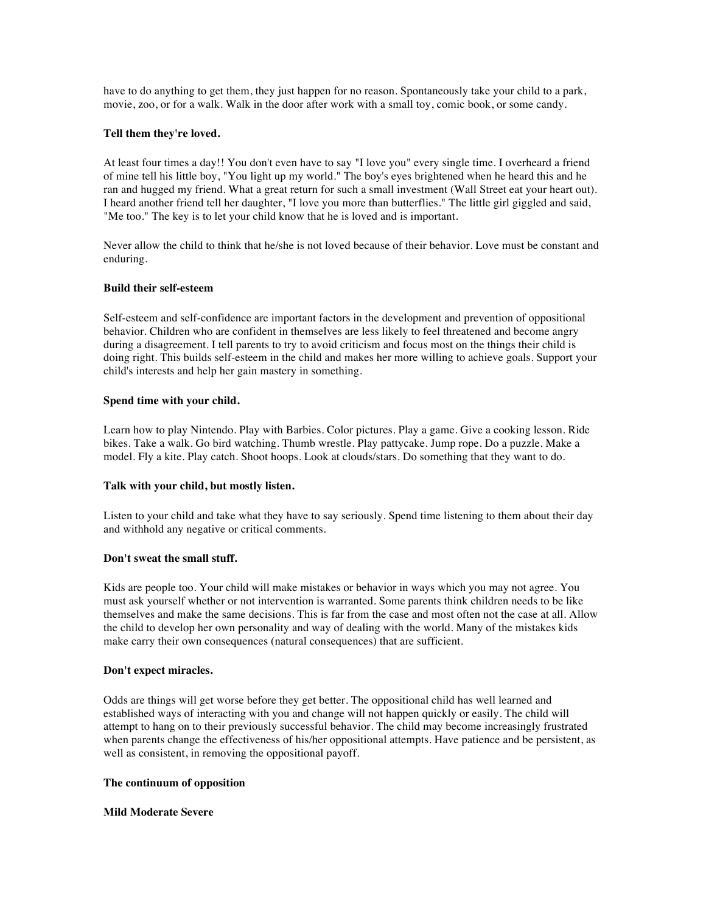have to do anything to get them, they just happen for no reason. Spontaneously take your child to a park, movie, zoo, or for a walk. Walk in the door after work with a small toy, comic book, or some candy.

### **Tell them they're loved.**

At least four times a day!! You don't even have to say "I love you" every single time. I overheard a friend of mine tell his little boy, "You light up my world." The boy's eyes brightened when he heard this and he ran and hugged my friend. What a great return for such a small investment (Wall Street eat your heart out). I heard another friend tell her daughter, "I love you more than butterflies." The little girl giggled and said, "Me too." The key is to let your child know that he is loved and is important.

Never allow the child to think that he/she is not loved because of their behavior. Love must be constant and enduring.

#### **Build their self-esteem**

Self-esteem and self-confidence are important factors in the development and prevention of oppositional behavior. Children who are confident in themselves are less likely to feel threatened and become angry during a disagreement. I tell parents to try to avoid criticism and focus most on the things their child is doing right. This builds self-esteem in the child and makes her more willing to achieve goals. Support your child's interests and help her gain mastery in something.

#### **Spend time with your child.**

Learn how to play Nintendo. Play with Barbies. Color pictures. Play a game. Give a cooking lesson. Ride bikes. Take a walk. Go bird watching. Thumb wrestle. Play pattycake. Jump rope. Do a puzzle. Make a model. Fly a kite. Play catch. Shoot hoops. Look at clouds/stars. Do something that they want to do.

## **Talk with your child, but mostly listen.**

Listen to your child and take what they have to say seriously. Spend time listening to them about their day and withhold any negative or critical comments.

## **Don't sweat the small stuff.**

Kids are people too. Your child will make mistakes or behavior in ways which you may not agree. You must ask yourself whether or not intervention is warranted. Some parents think children needs to be like themselves and make the same decisions. This is far from the case and most often not the case at all. Allow the child to develop her own personality and way of dealing with the world. Many of the mistakes kids make carry their own consequences (natural consequences) that are sufficient.

#### **Don't expect miracles.**

Odds are things will get worse before they get better. The oppositional child has well learned and established ways of interacting with you and change will not happen quickly or easily. The child will attempt to hang on to their previously successful behavior. The child may become increasingly frustrated when parents change the effectiveness of his/her oppositional attempts. Have patience and be persistent, as well as consistent, in removing the oppositional payoff.

#### **The continuum of opposition**

#### **Mild Moderate Severe**